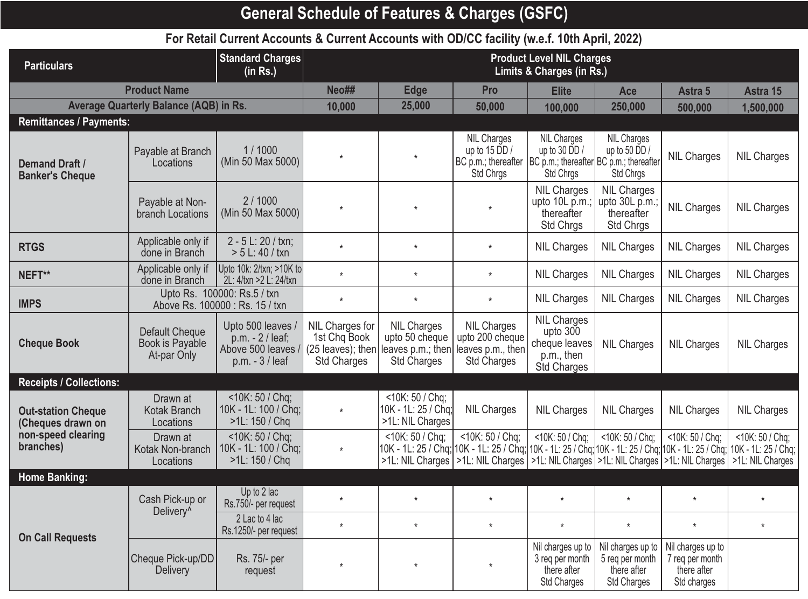## **General Schedule of Features & Charges (GSFC)**

## **For Retail Current Accounts & Current Accounts with OD/CC facility (w.e.f. 10th April, 2022)**

| <b>Particulars</b>                              |                                                         | <b>Standard Charges</b><br>(in Rs.)                                              | <b>Product Level NIL Charges</b><br>Limits & Charges (in Rs.)                |                                                                                                                                             |                                                                                                                              |                                                                                |                                                                           |                                                                    |                                     |
|-------------------------------------------------|---------------------------------------------------------|----------------------------------------------------------------------------------|------------------------------------------------------------------------------|---------------------------------------------------------------------------------------------------------------------------------------------|------------------------------------------------------------------------------------------------------------------------------|--------------------------------------------------------------------------------|---------------------------------------------------------------------------|--------------------------------------------------------------------|-------------------------------------|
|                                                 | <b>Product Name</b>                                     |                                                                                  | Neo##                                                                        | <b>Edge</b>                                                                                                                                 | Pro                                                                                                                          | <b>Elite</b>                                                                   | Ace                                                                       | Astra 5                                                            | Astra 15                            |
|                                                 | <b>Average Quarterly Balance (AQB) in Rs.</b>           |                                                                                  | 10,000                                                                       | 25,000                                                                                                                                      | 50,000                                                                                                                       | 100,000                                                                        | 250,000                                                                   | 500,000                                                            | 1,500,000                           |
| <b>Remittances / Payments:</b>                  |                                                         |                                                                                  |                                                                              |                                                                                                                                             |                                                                                                                              |                                                                                |                                                                           |                                                                    |                                     |
| <b>Demand Draft /</b><br><b>Banker's Cheque</b> | Payable at Branch<br>Locations                          | 1/1000<br>(Min 50 Max 5000)                                                      | $\star$                                                                      | $\star$                                                                                                                                     | <b>NIL Charges</b><br>up to $15$ DD /<br>BC p.m.; thereafter   BC p.m.; thereafter   BC p.m.; thereafter<br><b>Std Chrgs</b> | <b>NIL Charges</b><br>up to 30 $\overline{D}D/$<br><b>Std Chrgs</b>            | <b>NIL Charges</b><br>up to 50 $\overline{D}D/$<br><b>Std Chrgs</b>       | <b>NIL Charges</b>                                                 | <b>NIL Charges</b>                  |
|                                                 | Payable at Non-<br>branch Locations                     | 2/1000<br>(Min 50 Max 5000)                                                      | $\star$                                                                      | $\star$                                                                                                                                     | $\star$                                                                                                                      | <b>NIL Charges</b><br>upto 10L p.m.;<br>thereafter<br>Std Chrgs                | <b>NIL Charges</b><br>upto 30L p.m.;<br>thereafter<br><b>Std Chrgs</b>    | <b>NIL Charges</b>                                                 | <b>NIL Charges</b>                  |
| <b>RTGS</b>                                     | Applicable only if<br>done in Branch                    | 2 - 5 L: 20 / txn;<br>$> 5 L: 40 / t \times n$                                   | $\star$                                                                      | $\star$                                                                                                                                     | $\star$                                                                                                                      | <b>NIL Charges</b>                                                             | <b>NIL Charges</b>                                                        | <b>NIL Charges</b>                                                 | <b>NIL Charges</b>                  |
| NEFT**                                          | Applicable only if<br>done in Branch                    | Upto 10k: 2/txn; >10K to<br>2L: 4/txn >2L: 24/txn                                | $\star$                                                                      | $\star$                                                                                                                                     | $\star$                                                                                                                      | <b>NIL Charges</b>                                                             | <b>NIL Charges</b>                                                        | <b>NIL Charges</b>                                                 | <b>NIL Charges</b>                  |
| <b>IMPS</b>                                     |                                                         | Upto Rs. 100000: Rs.5 / txn<br>Above Rs. 100000: Rs. 15 / txn                    | $\star$                                                                      | $\star$                                                                                                                                     | $\star$                                                                                                                      | <b>NIL Charges</b>                                                             | <b>NIL Charges</b>                                                        | <b>NIL Charges</b>                                                 | <b>NIL Charges</b>                  |
| <b>Cheque Book</b>                              | <b>Default Cheque</b><br>Book is Payable<br>At-par Only | Upto 500 leaves<br>$p.m. - 2 / leaf;$<br>Above 500 leaves /<br>$p.m. - 3$ / leaf | NIL Charges for<br>1st Chq Book<br>$(25$ leaves); then<br><b>Std Charges</b> | <b>NIL Charges</b><br>upto 50 cheque<br>leaves p.m.; then<br><b>Std Charges</b>                                                             | <b>NIL Charges</b><br>upto 200 cheque<br>leaves p.m., then<br><b>Std Charges</b>                                             | <b>NIL Charges</b><br>upto $300$<br>cheque leaves<br>p.m., then<br>Std Charges | <b>NIL Charges</b>                                                        | <b>NIL Charges</b>                                                 | <b>NIL Charges</b>                  |
| <b>Receipts / Collections:</b>                  |                                                         |                                                                                  |                                                                              |                                                                                                                                             |                                                                                                                              |                                                                                |                                                                           |                                                                    |                                     |
| <b>Out-station Cheque</b><br>(Cheques drawn on  | Drawn at<br>Kotak Branch<br>Locations                   | $<$ 10K: 50 / Chq;<br>10K - 1L: 100 / Chq;<br>>1L: 150 / Chq                     | $\star$                                                                      | <10K: 50 / Chq;<br>10K - 1L: 25 / Chq;<br>>1L: NIL Charges                                                                                  | <b>NIL Charges</b>                                                                                                           | <b>NIL Charges</b>                                                             | <b>NIL Charges</b>                                                        | <b>NIL Charges</b>                                                 | <b>NIL Charges</b>                  |
| non-speed clearing<br>branches)                 | Drawn at<br>Kotak Non-branch<br>Locations               | <10K: 50 / Chq;<br>10K - 1L: 100 / Chq;<br>$>1$ L: 150 / Chq                     | $\star$                                                                      | <10K: 50 / Chq;<br>10K - 1L: 25 / Chq; 10K - 1L: 25 / Chq; 10K - 1L: 25 / Chq; 10K - 1L: 25 / Chq; 10K - 1L: 25 / Chq;  10K - 1L: 25 / Chq; | <10K: 50 / Chq;<br>>1L: NIL Charges   >1L: NIL Charges   >1L: NIL Charges   >1L: NIL Charges   >1L: NIL Charges              | <10K: 50 / Chq;                                                                | <10K: 50 / Chq;                                                           | <10K: 50 / Chq;                                                    | <10K: 50 / Chq;<br>>1L: NIL Charges |
| Home Banking:                                   |                                                         |                                                                                  |                                                                              |                                                                                                                                             |                                                                                                                              |                                                                                |                                                                           |                                                                    |                                     |
|                                                 | Cash Pick-up or<br>Delivery <sup>^</sup>                | Up to 2 lac<br>Rs.750/- per request                                              | $\star$                                                                      | $\star$                                                                                                                                     | $\star$                                                                                                                      | $\star$                                                                        | $\star$                                                                   | $\star$                                                            | $\star$                             |
| <b>On Call Requests</b>                         |                                                         | 2 Lac to 4 lac<br>Rs.1250/- per request                                          | $\star$                                                                      | $\star$                                                                                                                                     | $\star$                                                                                                                      | $\star$                                                                        | $\star$                                                                   | $\star$                                                            | $\star$                             |
|                                                 | Cheque Pick-up/DD<br><b>Delivery</b>                    | Rs. 75/- per<br>request                                                          | $\star$                                                                      | $\star$                                                                                                                                     | $\star$                                                                                                                      | Nil charges up to<br>3 reg per month<br>there after<br><b>Std Charges</b>      | Nil charges up to<br>5 reg per month<br>there after<br><b>Std Charges</b> | Nil charges up to<br>7 reg per month<br>there after<br>Std charges |                                     |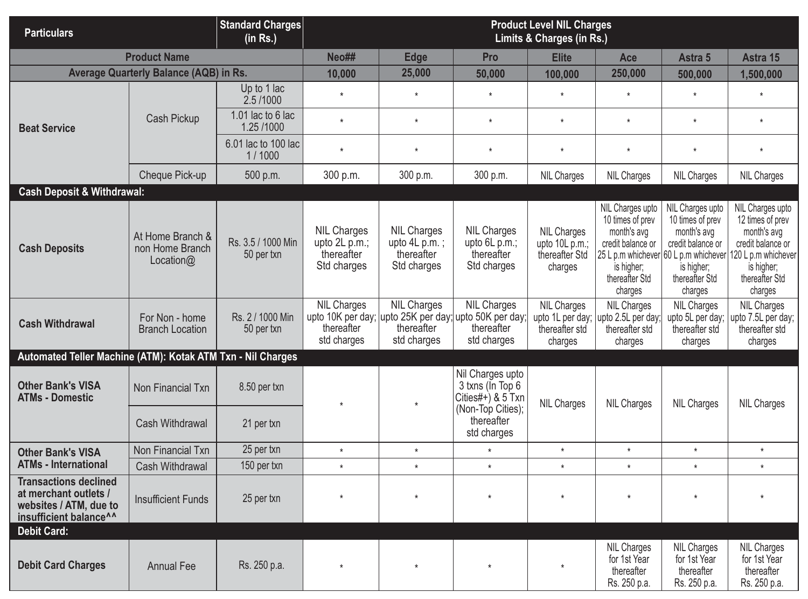| <b>Particulars</b>                                                                                                    |                                                     | <b>Standard Charges</b><br>(in Rs.) | <b>Product Level NIL Charges</b><br>Limits & Charges (in Rs.)    |                                                                    |                                                                                                                          |                                                                   |                                                                                                                                                              |                                                                                                                     |                                                                                                                                            |
|-----------------------------------------------------------------------------------------------------------------------|-----------------------------------------------------|-------------------------------------|------------------------------------------------------------------|--------------------------------------------------------------------|--------------------------------------------------------------------------------------------------------------------------|-------------------------------------------------------------------|--------------------------------------------------------------------------------------------------------------------------------------------------------------|---------------------------------------------------------------------------------------------------------------------|--------------------------------------------------------------------------------------------------------------------------------------------|
|                                                                                                                       | <b>Product Name</b>                                 |                                     | Neo##                                                            | <b>Edge</b>                                                        | Pro                                                                                                                      | <b>Elite</b>                                                      | Ace                                                                                                                                                          | Astra 5                                                                                                             | Astra 15                                                                                                                                   |
|                                                                                                                       | <b>Average Quarterly Balance (AQB) in Rs.</b>       |                                     | 10,000                                                           | 25,000                                                             | 50,000                                                                                                                   | 100,000                                                           | 250,000                                                                                                                                                      | 500,000                                                                                                             | 1,500,000                                                                                                                                  |
|                                                                                                                       |                                                     | Up to 1 lac<br>2.5/1000             | $\star$                                                          | $\star$                                                            | $\star$                                                                                                                  | $\star$                                                           | $\star$                                                                                                                                                      | $\star$                                                                                                             | $\star$                                                                                                                                    |
| <b>Beat Service</b>                                                                                                   | <b>Cash Pickup</b>                                  | 1.01 lac to 6 lac<br>1.25 /1000     | $\star$                                                          | $\star$                                                            | $\star$                                                                                                                  | $\star$                                                           | $\star$                                                                                                                                                      | $\star$                                                                                                             | $\star$                                                                                                                                    |
|                                                                                                                       |                                                     | 6.01 lac to 100 lac<br>1/1000       | $\star$                                                          | $\star$                                                            | $\star$                                                                                                                  | $\star$                                                           | $\star$                                                                                                                                                      | $\star$                                                                                                             | $\star$                                                                                                                                    |
|                                                                                                                       | Cheque Pick-up                                      | 500 p.m.                            | 300 p.m.                                                         | 300 p.m.                                                           | 300 p.m.                                                                                                                 | <b>NIL Charges</b>                                                | <b>NIL Charges</b>                                                                                                                                           | <b>NIL Charges</b>                                                                                                  | <b>NIL Charges</b>                                                                                                                         |
| <b>Cash Deposit &amp; Withdrawal:</b>                                                                                 |                                                     |                                     |                                                                  |                                                                    |                                                                                                                          |                                                                   |                                                                                                                                                              |                                                                                                                     |                                                                                                                                            |
| <b>Cash Deposits</b>                                                                                                  | At Home Branch &<br>non Home Branch<br>Location $@$ | Rs. 3.5 / 1000 Min<br>50 per txn    | <b>NIL Charges</b><br>upto 2L p.m.;<br>thereafter<br>Std charges | <b>NIL Charges</b><br>upto $4L$ p.m.;<br>thereafter<br>Std charges | <b>NIL Charges</b><br>upto $6L$ p.m.;<br>thereafter<br>Std charges                                                       | <b>NIL Charges</b><br>upto 10L p.m.;<br>thereafter Std<br>charges | NIL Charges upto<br>10 times of prev<br>month's avg<br>credit balance or<br>25 L p.m whichever 60 L p.m whichever<br>is higher;<br>thereafter Std<br>charges | NIL Charges upto<br>10 times of prev<br>month's avg<br>credit balance or<br>is higher;<br>thereafter Std<br>charges | NIL Charges upto<br>12 times of prev<br>month's avg<br>credit balance or<br>120 L p.m whichever<br>is higher;<br>thereafter Std<br>charges |
| <b>Cash Withdrawal</b>                                                                                                | For Non - home<br><b>Branch Location</b>            | Rs. 2 / 1000 Min<br>50 per txn      | <b>NIL Charges</b><br>thereafter<br>std charges                  | <b>NIL Charges</b><br>thereafter<br>std charges                    | <b>NIL Charges</b><br>upto 10K per day; upto 25K per day; upto 50K per day;<br>thereafter<br>std charges                 | <b>NIL Charges</b><br>thereafter std<br>charges                   | <b>NIL Charges</b><br>upto 1L per day; upto 2.5L per day;<br>thereafter std<br>charges                                                                       | <b>NIL Charges</b><br>upto 5L per day;<br>thereafter std<br>charges                                                 | <b>NIL Charges</b><br>upto 7.5L per day;  <br>thereafter std<br>charges                                                                    |
| Automated Teller Machine (ATM): Kotak ATM Txn - Nil Charges                                                           |                                                     |                                     |                                                                  |                                                                    |                                                                                                                          |                                                                   |                                                                                                                                                              |                                                                                                                     |                                                                                                                                            |
| <b>Other Bank's VISA</b><br><b>ATMs - Domestic</b>                                                                    | Non Financial Txn<br>Cash Withdrawal                | 8.50 per txn<br>21 per txn          | $\star$                                                          | $\star$                                                            | Nil Charges upto<br>3 txns (In Top 6<br>Cities#+ $\frac{1}{2}$ & 5 Txn<br>(Non-Top Cities);<br>thereafter<br>std charges | <b>NIL Charges</b>                                                | <b>NIL Charges</b>                                                                                                                                           | <b>NIL Charges</b>                                                                                                  | <b>NIL Charges</b>                                                                                                                         |
| <b>Other Bank's VISA</b>                                                                                              | Non Financial Txn                                   | 25 per txn                          | $\star$                                                          | $\star$                                                            | $\star$                                                                                                                  | $\star$                                                           | $\star$                                                                                                                                                      | $\star$                                                                                                             | $\star$                                                                                                                                    |
| <b>ATMs - International</b>                                                                                           | Cash Withdrawal                                     | 150 per txn                         | $\star$                                                          | $\star$                                                            | $\star$                                                                                                                  | $\star$                                                           | $\star$                                                                                                                                                      | $\star$                                                                                                             | $\star$                                                                                                                                    |
| <b>Transactions declined</b><br>at merchant outlets /<br>websites / ATM, due to<br>insufficient balance <sup>^^</sup> | <b>Insufficient Funds</b>                           | 25 per txn                          | $^\star$                                                         | $\star$                                                            | $\star$                                                                                                                  | $\star$                                                           | $\star$                                                                                                                                                      | $\star$                                                                                                             | $\star$                                                                                                                                    |
| <b>Debit Card:</b>                                                                                                    |                                                     |                                     |                                                                  |                                                                    |                                                                                                                          |                                                                   |                                                                                                                                                              |                                                                                                                     |                                                                                                                                            |
| <b>Debit Card Charges</b>                                                                                             | <b>Annual Fee</b>                                   | Rs. 250 p.a.                        | $\star$                                                          | $\star$                                                            | $\star$                                                                                                                  | $\star$                                                           | <b>NIL Charges</b><br>for 1st Year<br>thereafter<br>Rs. 250 p.a.                                                                                             | <b>NIL Charges</b><br>for 1st Year<br>thereafter<br>Rs. 250 p.a.                                                    | <b>NIL Charges</b><br>for 1st Year<br>thereafter<br>Rs. 250 p.a.                                                                           |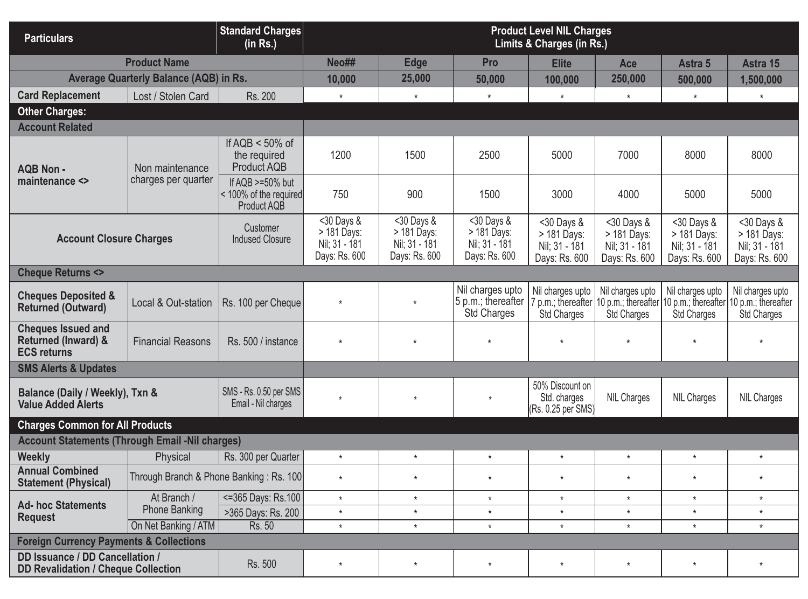| <b>Particulars</b>                                                                           |                                               | <b>Standard Charges</b><br>(in Rs.)                         | <b>Product Level NIL Charges</b><br><b>Limits &amp; Charges (in Rs.)</b> |                                                              |                                                                |                                                              |                                                              |                                                             |                                                                                                                          |
|----------------------------------------------------------------------------------------------|-----------------------------------------------|-------------------------------------------------------------|--------------------------------------------------------------------------|--------------------------------------------------------------|----------------------------------------------------------------|--------------------------------------------------------------|--------------------------------------------------------------|-------------------------------------------------------------|--------------------------------------------------------------------------------------------------------------------------|
|                                                                                              | <b>Product Name</b>                           |                                                             | Neo##                                                                    | <b>Edge</b>                                                  | Pro                                                            | <b>Elite</b>                                                 | Ace                                                          | Astra 5                                                     | Astra 15                                                                                                                 |
|                                                                                              | <b>Average Quarterly Balance (AQB) in Rs.</b> |                                                             | 10,000                                                                   | 25,000                                                       | 50,000                                                         | 100,000                                                      | 250,000                                                      | 500,000                                                     | 1,500,000                                                                                                                |
| <b>Card Replacement</b>                                                                      | Lost / Stolen Card                            | Rs. 200                                                     | $^\star$                                                                 | $\star$                                                      | $\star$                                                        | $\star$                                                      | $\star$                                                      | $\star$                                                     | $\star$                                                                                                                  |
| <b>Other Charges:</b>                                                                        |                                               |                                                             |                                                                          |                                                              |                                                                |                                                              |                                                              |                                                             |                                                                                                                          |
| <b>Account Related</b>                                                                       |                                               |                                                             |                                                                          |                                                              |                                                                |                                                              |                                                              |                                                             |                                                                                                                          |
| <b>AQB Non-</b>                                                                              | Non maintenance                               | If $AQB < 50\%$ of<br>the required<br>Product AQB           | 1200                                                                     | 1500                                                         | 2500                                                           | 5000                                                         | 7000                                                         | 8000                                                        | 8000                                                                                                                     |
| maintenance <>                                                                               | charges per quarter                           | If $AQB$ >=50% but<br>< 100% of the required<br>Product AQB | 750                                                                      | 900                                                          | 1500                                                           | 3000                                                         | 4000                                                         | 5000                                                        | 5000                                                                                                                     |
| <b>Account Closure Charges</b>                                                               |                                               | Customer<br><b>Indused Closure</b>                          | $30$ Days &<br>> 181 Days:<br>Nil; 31 - 181<br>Days: Rs. 600             | $30$ Days &<br>> 181 Days:<br>Nil; 31 - 181<br>Days: Rs. 600 | $<$ 30 Days &<br>> 181 Days:<br>Nil; 31 - 181<br>Days: Rs. 600 | $30$ Days &<br>> 181 Days:<br>Nil; 31 - 181<br>Days: Rs. 600 | $30$ Days &<br>> 181 Days:<br>Nil; 31 - 181<br>Days: Rs. 600 | <30 Days &<br>> 181 Days:<br>Nil; 31 - 181<br>Days: Rs. 600 | $30$ Days &<br>> 181 Days:<br>Nil; 31 - 181<br>Days: Rs. 600                                                             |
| <b>Cheque Returns &lt;&gt;</b>                                                               |                                               |                                                             |                                                                          |                                                              |                                                                |                                                              |                                                              |                                                             |                                                                                                                          |
| <b>Cheques Deposited &amp;</b><br><b>Returned (Outward)</b>                                  | Local & Out-station                           | Rs. 100 per Cheque                                          | $\star$                                                                  | $\star$                                                      | Nil charges upto<br>5 p.m.; thereafter<br><b>Std Charges</b>   | Nil charges upto<br><b>Std Charges</b>                       | Nil charges upto<br><b>Std Charges</b>                       | Nil charges upto<br>Std Charges                             | Nil charges upto<br>7 p.m.; thereafter 10 p.m.; thereafter 10 p.m.; thereafter 10 p.m.; thereafter<br><b>Std Charges</b> |
| <b>Cheques Issued and</b><br><b>Returned (Inward) &amp;</b><br><b>ECS returns</b>            | <b>Financial Reasons</b>                      | Rs. 500 / instance                                          | $\star$                                                                  | $\star$                                                      | $\star$                                                        | $\star$                                                      | $\star$                                                      | $\star$                                                     | $\star$                                                                                                                  |
| <b>SMS Alerts &amp; Updates</b>                                                              |                                               |                                                             |                                                                          |                                                              |                                                                |                                                              |                                                              |                                                             |                                                                                                                          |
| Balance (Daily / Weekly), Txn &<br><b>Value Added Alerts</b>                                 |                                               | SMS - Rs. 0.50 per SMS<br>Email - Nil charges               | $\star$                                                                  | $^\star$                                                     | $\star$                                                        | 50% Discount on<br>Std. charges<br>(Rs. 0.25 per SMS)        | <b>NIL Charges</b>                                           | <b>NIL Charges</b>                                          | <b>NIL Charges</b>                                                                                                       |
| <b>Charges Common for All Products</b>                                                       |                                               |                                                             |                                                                          |                                                              |                                                                |                                                              |                                                              |                                                             |                                                                                                                          |
| <b>Account Statements (Through Email -Nil charges)</b>                                       |                                               |                                                             |                                                                          |                                                              |                                                                |                                                              |                                                              |                                                             |                                                                                                                          |
| <b>Weekly</b>                                                                                | Physical                                      | Rs. 300 per Quarter                                         | $\star$                                                                  | $\star$                                                      | $\star$                                                        | $^\star$                                                     | $\star$                                                      | $\star$                                                     | $\star$                                                                                                                  |
| <b>Annual Combined</b><br><b>Statement (Physical)</b>                                        | Through Branch & Phone Banking: Rs. 100       |                                                             | $\star$                                                                  | $\star$                                                      | $\star$                                                        | $^\star$                                                     | $\star$                                                      | $\star$                                                     | $\star$                                                                                                                  |
| <b>Ad- hoc Statements</b>                                                                    | At Branch /                                   | <= 365 Days: Rs. 100                                        | $\star$                                                                  | $\star$                                                      | $\star$                                                        | $^\star$                                                     | $\star$                                                      | $\star$                                                     | $\star$                                                                                                                  |
| <b>Request</b>                                                                               | <b>Phone Banking</b>                          | >365 Days: Rs. 200                                          | $\star$                                                                  | $\star$                                                      | $\star$                                                        | $^\star$                                                     | $\star$                                                      | $\star$                                                     | $\star$                                                                                                                  |
|                                                                                              | On Net Banking / ATM                          | Rs. 50                                                      | $\star$                                                                  | $\star$                                                      | $\star$                                                        | $\star$                                                      | $\star$                                                      | $\star$                                                     | $\star$                                                                                                                  |
| <b>Foreign Currency Payments &amp; Collections</b><br><b>DD Issuance / DD Cancellation /</b> |                                               |                                                             |                                                                          |                                                              |                                                                |                                                              |                                                              |                                                             |                                                                                                                          |
| <b>DD Revalidation / Cheque Collection</b>                                                   |                                               | Rs. 500                                                     | $\star$                                                                  | $\star$                                                      | $\star$                                                        | $\star$                                                      | $\star$                                                      | $\star$                                                     | $\star$                                                                                                                  |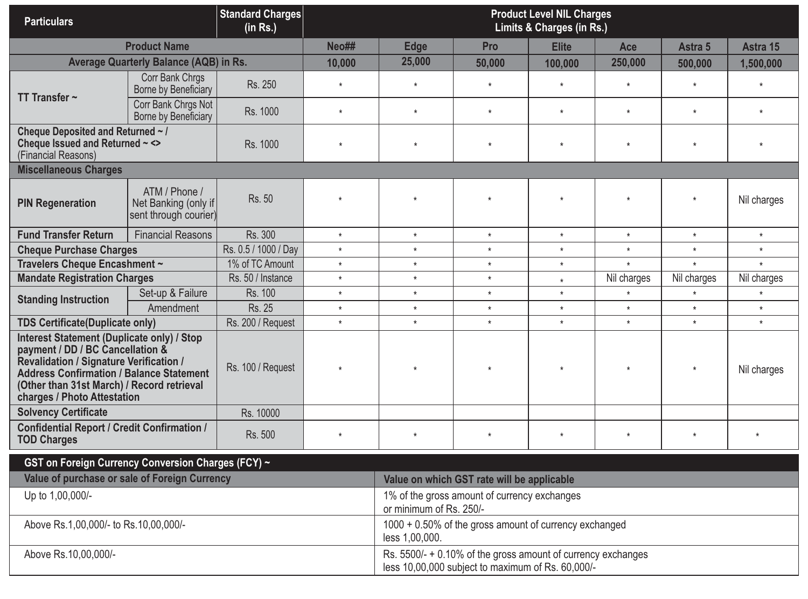| <b>Particulars</b>                                                                                                                                                                                                                                                      |                                                                | <b>Standard Charges</b><br>(in Rs.) | <b>Product Level NIL Charges</b><br>Limits & Charges (in Rs.)            |                                                                                                                   |                                            |              |             |             |             |  |
|-------------------------------------------------------------------------------------------------------------------------------------------------------------------------------------------------------------------------------------------------------------------------|----------------------------------------------------------------|-------------------------------------|--------------------------------------------------------------------------|-------------------------------------------------------------------------------------------------------------------|--------------------------------------------|--------------|-------------|-------------|-------------|--|
|                                                                                                                                                                                                                                                                         | <b>Product Name</b>                                            |                                     | Neo##                                                                    | <b>Edge</b>                                                                                                       | Pro                                        | <b>Elite</b> | Ace         | Astra 5     | Astra 15    |  |
|                                                                                                                                                                                                                                                                         | <b>Average Quarterly Balance (AQB) in Rs.</b>                  |                                     | 10,000                                                                   | 25,000                                                                                                            | 50,000                                     | 100,000      | 250,000     | 500,000     | 1,500,000   |  |
|                                                                                                                                                                                                                                                                         | Corr Bank Chrgs<br>Borne by Beneficiary                        | Rs. 250                             | $\star$                                                                  | $^\star$                                                                                                          | $\star$                                    | $\star$      | $\star$     | $\star$     | $\star$     |  |
| TT Transfer $\sim$                                                                                                                                                                                                                                                      | Corr Bank Chrgs Not<br>Borne by Beneficiary                    | Rs. 1000                            | $\star$                                                                  | $\star$                                                                                                           | $\star$                                    | $\star$      | $\star$     | $\star$     | $\star$     |  |
| Cheque Deposited and Returned ~ /<br>Cheque Issued and Returned ~ <><br>(Financial Reasons)                                                                                                                                                                             |                                                                | Rs. 1000                            | $\star$                                                                  | $\star$                                                                                                           | $\star$                                    | $\star$      | $\star$     | $\star$     |             |  |
| <b>Miscellaneous Charges</b>                                                                                                                                                                                                                                            |                                                                |                                     |                                                                          |                                                                                                                   |                                            |              |             |             |             |  |
| <b>PIN Regeneration</b>                                                                                                                                                                                                                                                 | ATM / Phone /<br>Net Banking (only if<br>sent through courier) | Rs. 50                              | $\star$                                                                  | $\star$                                                                                                           | $\star$                                    | $\star$      | $\star$     | $\star$     | Nil charges |  |
| <b>Fund Transfer Return</b>                                                                                                                                                                                                                                             | <b>Financial Reasons</b>                                       | Rs. 300                             | $\star$                                                                  | $\star$                                                                                                           | $\star$                                    | $\star$      | $\star$     | $\star$     | $\star$     |  |
| <b>Cheque Purchase Charges</b>                                                                                                                                                                                                                                          |                                                                | Rs. 0.5 / 1000 / Day                | $\star$                                                                  | $\star$                                                                                                           | $\star$                                    | $\star$      | $\star$     | $\star$     | $\star$     |  |
| Travelers Cheque Encashment ~                                                                                                                                                                                                                                           |                                                                | 1% of TC Amount                     | $\star$                                                                  | $\star$                                                                                                           | $\star$                                    | $\star$      | $\star$     | $\star$     | $\star$     |  |
| <b>Mandate Registration Charges</b>                                                                                                                                                                                                                                     |                                                                | Rs. 50 / Instance                   | $\star$                                                                  | $\star$                                                                                                           | $\star$                                    | $\star$      | Nil charges | Nil charges | Nil charges |  |
| <b>Standing Instruction</b>                                                                                                                                                                                                                                             | Set-up & Failure                                               | Rs. 100                             | $\star$                                                                  | $\star$                                                                                                           | $\star$                                    | $\star$      | $\star$     | $\star$     | $\star$     |  |
|                                                                                                                                                                                                                                                                         | Amendment                                                      | <b>Rs. 25</b>                       | $\star$                                                                  | $\star$                                                                                                           | $\star$                                    | $\star$      | $\star$     | $\star$     | $\star$     |  |
| <b>TDS Certificate(Duplicate only)</b>                                                                                                                                                                                                                                  |                                                                | Rs. 200 / Request                   | $\star$                                                                  | $\star$                                                                                                           | $\star$                                    | $\star$      | $\star$     | $\star$     | $\star$     |  |
| <b>Interest Statement (Duplicate only) / Stop</b><br>payment / DD / BC Cancellation &<br><b>Revalidation / Signature Verification /</b><br><b>Address Confirmation / Balance Statement</b><br>(Other than 31st March) / Record retrieval<br>charges / Photo Attestation |                                                                | Rs. 100 / Request                   | $\star$                                                                  | $\star$                                                                                                           | $\star$                                    |              | $\star$     |             | Nil charges |  |
| <b>Solvency Certificate</b>                                                                                                                                                                                                                                             |                                                                | Rs. 10000                           |                                                                          |                                                                                                                   |                                            |              |             |             |             |  |
| <b>Confidential Report / Credit Confirmation /</b><br><b>TOD Charges</b>                                                                                                                                                                                                |                                                                | Rs. 500                             | $\star$                                                                  |                                                                                                                   |                                            |              | $\star$     |             |             |  |
| GST on Foreign Currency Conversion Charges (FCY) ~                                                                                                                                                                                                                      |                                                                |                                     |                                                                          |                                                                                                                   |                                            |              |             |             |             |  |
| Value of purchase or sale of Foreign Currency                                                                                                                                                                                                                           |                                                                |                                     |                                                                          |                                                                                                                   | Value on which GST rate will be applicable |              |             |             |             |  |
| Up to 1,00,000/-                                                                                                                                                                                                                                                        |                                                                |                                     |                                                                          | 1% of the gross amount of currency exchanges<br>or minimum of Rs. 250/-                                           |                                            |              |             |             |             |  |
| Above Rs.1,00,000/- to Rs.10,00,000/-                                                                                                                                                                                                                                   |                                                                |                                     | 1000 + 0.50% of the gross amount of currency exchanged<br>less 1,00,000. |                                                                                                                   |                                            |              |             |             |             |  |
| Above Rs.10,00,000/-                                                                                                                                                                                                                                                    |                                                                |                                     |                                                                          | Rs. 5500/- + 0.10% of the gross amount of currency exchanges<br>less 10,00,000 subject to maximum of Rs. 60,000/- |                                            |              |             |             |             |  |